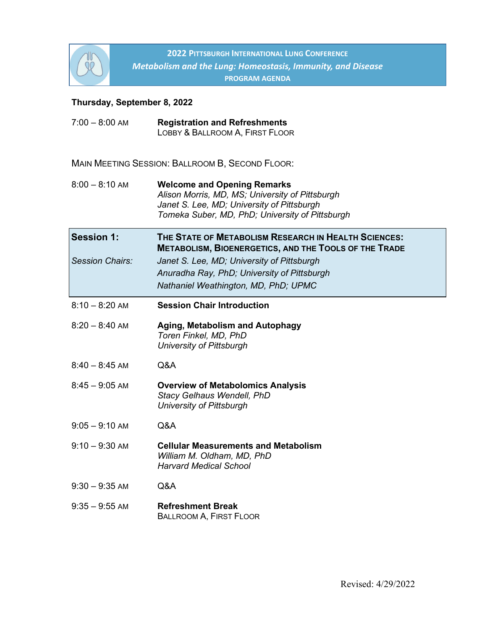

**2022 PITTSBURGH INTERNATIONAL LUNG CONFERENCE** *Metabolism and the Lung: Homeostasis, Immunity, and Disease* **PROGRAM AGENDA**

# **Thursday, September 8, 2022**

| $7:00 - 8:00$ AM                            | <b>Registration and Refreshments</b><br>LOBBY & BALLROOM A, FIRST FLOOR                                                                                                                                                                                   |
|---------------------------------------------|-----------------------------------------------------------------------------------------------------------------------------------------------------------------------------------------------------------------------------------------------------------|
|                                             | MAIN MEETING SESSION: BALLROOM B, SECOND FLOOR:                                                                                                                                                                                                           |
| $8:00 - 8:10$ AM                            | <b>Welcome and Opening Remarks</b><br>Alison Morris, MD, MS; University of Pittsburgh<br>Janet S. Lee, MD; University of Pittsburgh<br>Tomeka Suber, MD, PhD; University of Pittsburgh                                                                    |
| <b>Session 1:</b><br><b>Session Chairs:</b> | THE STATE OF METABOLISM RESEARCH IN HEALTH SCIENCES:<br><b>METABOLISM, BIOENERGETICS, AND THE TOOLS OF THE TRADE</b><br>Janet S. Lee, MD; University of Pittsburgh<br>Anuradha Ray, PhD; University of Pittsburgh<br>Nathaniel Weathington, MD, PhD; UPMC |
| $8:10 - 8:20$ AM                            | <b>Session Chair Introduction</b>                                                                                                                                                                                                                         |
| $8:20 - 8:40$ AM                            | <b>Aging, Metabolism and Autophagy</b><br>Toren Finkel, MD, PhD<br>University of Pittsburgh                                                                                                                                                               |
| $8:40 - 8:45$ AM                            | Q&A                                                                                                                                                                                                                                                       |
| $8:45 - 9:05$ AM                            | <b>Overview of Metabolomics Analysis</b><br><b>Stacy Gelhaus Wendell, PhD</b><br><b>University of Pittsburgh</b>                                                                                                                                          |
| $9:05 - 9:10$ AM                            | Q&A                                                                                                                                                                                                                                                       |
| $9:10 - 9:30$ AM                            | <b>Cellular Measurements and Metabolism</b><br>William M. Oldham, MD, PhD<br><b>Harvard Medical School</b>                                                                                                                                                |
| $9:30 - 9:35$ AM                            | Q&A                                                                                                                                                                                                                                                       |
| $9:35 - 9:55$ AM                            | <b>Refreshment Break</b><br><b>BALLROOM A, FIRST FLOOR</b>                                                                                                                                                                                                |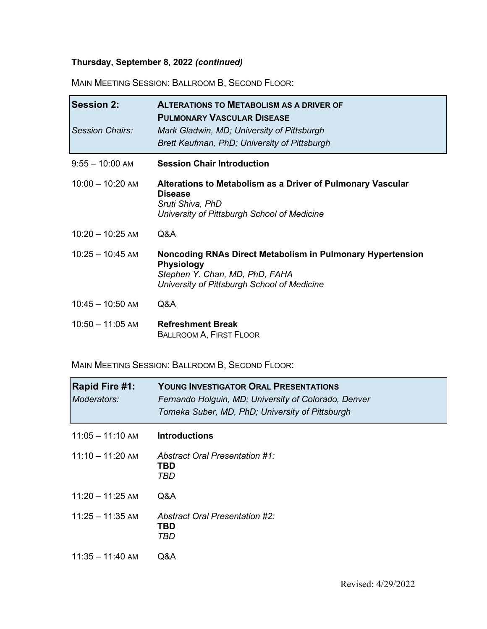# **Thursday, September 8, 2022** *(continued)*

MAIN MEETING SESSION: BALLROOM B, SECOND FLOOR:

| <b>Session 2:</b><br>Session Chairs: | <b>ALTERATIONS TO METABOLISM AS A DRIVER OF</b><br><b>PULMONARY VASCULAR DISEASE</b><br>Mark Gladwin, MD; University of Pittsburgh<br>Brett Kaufman, PhD; University of Pittsburgh |
|--------------------------------------|------------------------------------------------------------------------------------------------------------------------------------------------------------------------------------|
| $9:55 - 10:00$ AM                    | <b>Session Chair Introduction</b>                                                                                                                                                  |
| $10:00 - 10:20$ AM                   | Alterations to Metabolism as a Driver of Pulmonary Vascular<br><b>Disease</b><br>Sruti Shiva, PhD<br>University of Pittsburgh School of Medicine                                   |
| $10:20 - 10:25$ AM                   | Q&A                                                                                                                                                                                |
| $10:25 - 10:45$ AM                   | Noncoding RNAs Direct Metabolism in Pulmonary Hypertension<br><b>Physiology</b><br>Stephen Y. Chan, MD, PhD, FAHA<br>University of Pittsburgh School of Medicine                   |
| $10:45 - 10:50$ AM                   | Q&A                                                                                                                                                                                |
| $10:50 - 11:05$ AM                   | <b>Refreshment Break</b><br><b>BALLROOM A, FIRST FLOOR</b>                                                                                                                         |

MAIN MEETING SESSION: BALLROOM B, SECOND FLOOR:

| <b>Rapid Fire #1:</b><br>Moderators: | <b>YOUNG INVESTIGATOR ORAL PRESENTATIONS</b><br>Fernando Holguin, MD; University of Colorado, Denver<br>Tomeka Suber, MD, PhD; University of Pittsburgh |
|--------------------------------------|---------------------------------------------------------------------------------------------------------------------------------------------------------|
| $11:05 - 11:10$ AM                   | <b>Introductions</b>                                                                                                                                    |
| $11:10 - 11:20$ AM                   | Abstract Oral Presentation #1:<br>TBD<br>TBD                                                                                                            |
| $11:20 - 11:25$ AM                   | Q&A                                                                                                                                                     |
| $11:25 - 11:35$ AM                   | <b>Abstract Oral Presentation #2:</b><br>TBD<br>TBD                                                                                                     |
| $11:35 - 11:40$ AM                   | Q&A                                                                                                                                                     |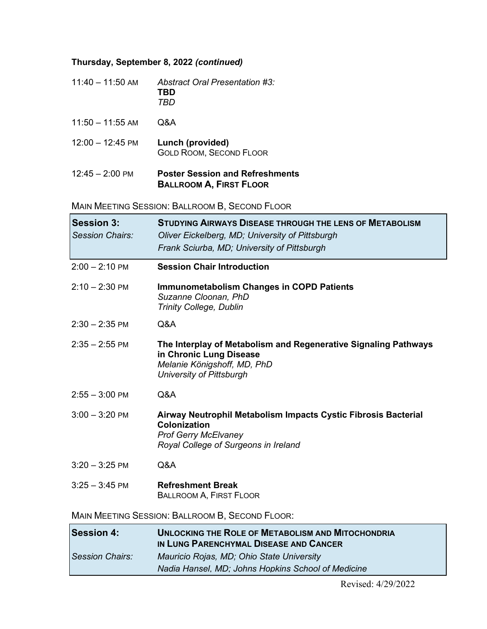### **Thursday, September 8, 2022** *(continued)*

| $11:40 - 11:50$ AM | <b>Abstract Oral Presentation #3:</b> |
|--------------------|---------------------------------------|
|                    | TRD                                   |
|                    | TRD                                   |

11:50 – 11:55 AM Q&A 12:00 – 12:45 PM **Lunch (provided)** GOLD ROOM, SECOND FLOOR

#### 12:45 – 2:00 PM **Poster Session and Refreshments BALLROOM A, FIRST FLOOR**

MAIN MEETING SESSION: BALLROOM B, SECOND FLOOR

| <b>Session 3:</b><br>Session Chairs: | <b>STUDYING AIRWAYS DISEASE THROUGH THE LENS OF METABOLISM</b><br>Oliver Eickelberg, MD; University of Pittsburgh<br>Frank Sciurba, MD; University of Pittsburgh |
|--------------------------------------|------------------------------------------------------------------------------------------------------------------------------------------------------------------|
| $2:00 - 2:10$ PM                     | <b>Session Chair Introduction</b>                                                                                                                                |
| $2:10 - 2:30$ PM                     | <b>Immunometabolism Changes in COPD Patients</b><br>Suzanne Cloonan, PhD<br><b>Trinity College, Dublin</b>                                                       |
| $2:30 - 2:35$ PM                     | Q&A                                                                                                                                                              |
| $2:35 - 2:55$ PM                     | The Interplay of Metabolism and Regenerative Signaling Pathways<br>in Chronic Lung Disease<br>Melanie Königshoff, MD, PhD<br><b>University of Pittsburgh</b>     |
| $2:55 - 3:00$ PM                     | Q&A                                                                                                                                                              |
| $3:00 - 3:20$ PM                     | Airway Neutrophil Metabolism Impacts Cystic Fibrosis Bacterial<br><b>Colonization</b><br><b>Prof Gerry McElvaney</b><br>Royal College of Surgeons in Ireland     |
| $3:20 - 3:25$ PM                     | Q&A                                                                                                                                                              |
| $3:25 - 3:45$ PM                     | <b>Refreshment Break</b><br><b>BALLROOM A, FIRST FLOOR</b>                                                                                                       |
|                                      | MAIN MEETING SESSION: BALLROOM B, SECOND FLOOR:                                                                                                                  |
| $C$ occion $\mathbf{A}$              | <b>INILOGRAPHIC THE DOLE OF METABOLIOM AND MITOGHOMPHA</b>                                                                                                       |

| <b>Session 4:</b> | <b>UNLOCKING THE ROLE OF METABOLISM AND MITOCHONDRIA</b><br>IN LUNG PARENCHYMAL DISEASE AND CANCER |
|-------------------|----------------------------------------------------------------------------------------------------|
| Session Chairs:   | Mauricio Rojas, MD; Ohio State University                                                          |
|                   | Nadia Hansel, MD; Johns Hopkins School of Medicine                                                 |

Revised: 4/29/2022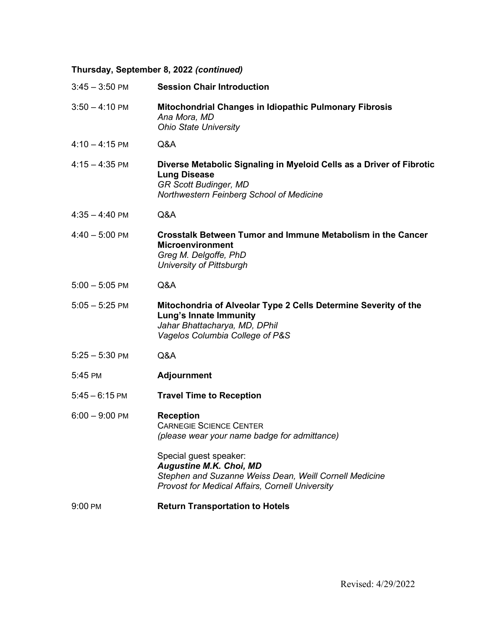# **Thursday, September 8, 2022** *(continued)*

| $3:45 - 3:50$ PM | <b>Session Chair Introduction</b>                                                                                                                                            |
|------------------|------------------------------------------------------------------------------------------------------------------------------------------------------------------------------|
| $3:50 - 4:10$ PM | Mitochondrial Changes in Idiopathic Pulmonary Fibrosis<br>Ana Mora, MD<br><b>Ohio State University</b>                                                                       |
| $4:10 - 4:15$ PM | Q&A                                                                                                                                                                          |
| $4:15 - 4:35$ PM | Diverse Metabolic Signaling in Myeloid Cells as a Driver of Fibrotic<br><b>Lung Disease</b><br><b>GR Scott Budinger, MD</b><br>Northwestern Feinberg School of Medicine      |
| $4:35 - 4:40$ PM | Q&A                                                                                                                                                                          |
| $4:40 - 5:00$ PM | <b>Crosstalk Between Tumor and Immune Metabolism in the Cancer</b><br><b>Microenvironment</b><br>Greg M. Delgoffe, PhD<br><b>University of Pittsburgh</b>                    |
| $5:00 - 5:05$ PM | Q&A                                                                                                                                                                          |
| $5:05 - 5:25$ PM | Mitochondria of Alveolar Type 2 Cells Determine Severity of the<br>Lung's Innate Immunity<br>Jahar Bhattacharya, MD, DPhil<br>Vagelos Columbia College of P&S                |
| $5:25 - 5:30$ PM | Q&A                                                                                                                                                                          |
| 5:45 PM          | <b>Adjournment</b>                                                                                                                                                           |
| $5:45 - 6:15$ PM | <b>Travel Time to Reception</b>                                                                                                                                              |
| $6:00 - 9:00$ PM | <b>Reception</b><br><b>CARNEGIE SCIENCE CENTER</b><br>(please wear your name badge for admittance)                                                                           |
|                  | Special guest speaker:<br><b>Augustine M.K. Choi, MD</b><br>Stephen and Suzanne Weiss Dean, Weill Cornell Medicine<br><b>Provost for Medical Affairs, Cornell University</b> |
| 9:00 PM          | <b>Return Transportation to Hotels</b>                                                                                                                                       |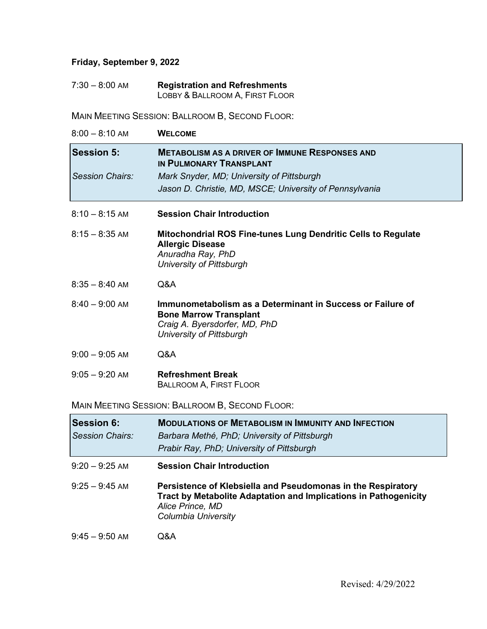## **Friday, September 9, 2022**

| $7:30 - 8:00$ AM | <b>Registration and Refreshments</b> |
|------------------|--------------------------------------|
|                  | LOBBY & BALLROOM A, FIRST FLOOR      |

MAIN MEETING SESSION: BALLROOM B, SECOND FLOOR:

| $8:00 - 8:10$ AM                            | <b>WELCOME</b>                                                                                                                                                  |
|---------------------------------------------|-----------------------------------------------------------------------------------------------------------------------------------------------------------------|
| <b>Session 5:</b>                           | <b>METABOLISM AS A DRIVER OF IMMUNE RESPONSES AND</b><br>IN PULMONARY TRANSPLANT                                                                                |
| Session Chairs:                             | Mark Snyder, MD; University of Pittsburgh<br>Jason D. Christie, MD, MSCE; University of Pennsylvania                                                            |
| $8:10 - 8:15$ AM                            | <b>Session Chair Introduction</b>                                                                                                                               |
| $8:15 - 8:35$ AM                            | Mitochondrial ROS Fine-tunes Lung Dendritic Cells to Regulate<br><b>Allergic Disease</b><br>Anuradha Ray, PhD<br><b>University of Pittsburgh</b>                |
| $8:35 - 8:40$ AM                            | Q&A                                                                                                                                                             |
| $8:40 - 9:00$ AM                            | Immunometabolism as a Determinant in Success or Failure of<br><b>Bone Marrow Transplant</b><br>Craig A. Byersdorfer, MD, PhD<br><b>University of Pittsburgh</b> |
| $9:00 - 9:05$ AM                            | Q&A                                                                                                                                                             |
| $9:05 - 9:20$ AM                            | <b>Refreshment Break</b><br><b>BALLROOM A, FIRST FLOOR</b>                                                                                                      |
|                                             | MAIN MEETING SESSION: BALLROOM B, SECOND FLOOR:                                                                                                                 |
| <b>Session 6:</b><br><b>Session Chairs:</b> | <b>MODULATIONS OF METABOLISM IN IMMUNITY AND INFECTION</b><br>Barbara Methé, PhD; University of Pittsburgh<br>Prabir Ray, PhD; University of Pittsburgh         |
| $9:20 - 9:25$ AM                            | <b>Session Chair Introduction</b>                                                                                                                               |
| $9:25 - 9:45$ AM                            | Persistence of Klebsiella and Pseudomonas in the Respiratory                                                                                                    |

9:25 – 9:45 AM **Persistence of Klebsiella and Pseudomonas in the Respiratory Tract by Metabolite Adaptation and Implications in Pathogenicity** *Alice Prince, MD Columbia University*

9:45 – 9:50 AM Q&A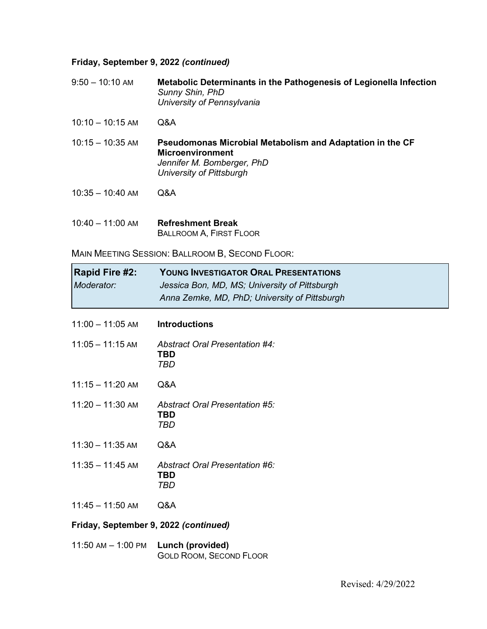#### **Friday, September 9, 2022** *(continued)*

9:50 – 10:10 AM **Metabolic Determinants in the Pathogenesis of Legionella Infection** *Sunny Shin, PhD University of Pennsylvania*

- 10:10 10:15 AM Q&A
- 10:15 10:35 AM **Pseudomonas Microbial Metabolism and Adaptation in the CF Microenvironment** *Jennifer M. Bomberger, PhD University of Pittsburgh*
- 10:35 10:40 AM Q&A
- 10:40 11:00 AM **Refreshment Break** BALLROOM A, FIRST FLOOR

MAIN MEETING SESSION: BALLROOM B, SECOND FLOOR:

| Rapid Fire #2:<br>Moderator:          | <b>YOUNG INVESTIGATOR ORAL PRESENTATIONS</b><br>Jessica Bon, MD, MS; University of Pittsburgh<br>Anna Zemke, MD, PhD; University of Pittsburgh |
|---------------------------------------|------------------------------------------------------------------------------------------------------------------------------------------------|
| $11:00 - 11:05$ AM                    | <b>Introductions</b>                                                                                                                           |
| $11:05 - 11:15$ AM                    | Abstract Oral Presentation #4:<br>TBD<br><b>TBD</b>                                                                                            |
| $11:15 - 11:20$ AM                    | Q&A                                                                                                                                            |
| $11:20 - 11:30$ AM                    | Abstract Oral Presentation #5:<br>TBD<br>TBD                                                                                                   |
| $11:30 - 11:35$ AM                    | Q&A                                                                                                                                            |
| $11:35 - 11:45$ AM                    | Abstract Oral Presentation #6:<br>TBD<br>TBD                                                                                                   |
| $11:45 - 11:50$ AM                    | Q&A                                                                                                                                            |
| Friday, September 9, 2022 (continued) |                                                                                                                                                |

11:50 AM – 1:00 PM **Lunch (provided)** GOLD ROOM, SECOND FLOOR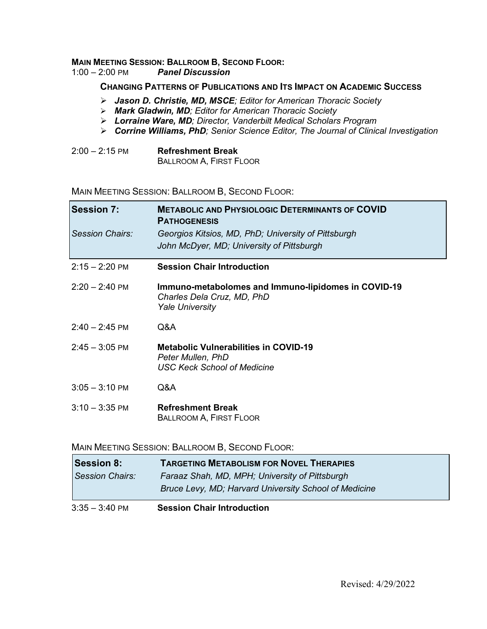# **MAIN MEETING SESSION: BALLROOM B, SECOND FLOOR:**<br>1:00 - 2:00 PM **Panel Discussion**

 $P$ anel Discussion

#### **CHANGING PATTERNS OF PUBLICATIONS AND ITS IMPACT ON ACADEMIC SUCCESS**

- *Jason D. Christie, MD, MSCE; Editor for American Thoracic Society*
- *Mark Gladwin, MD; Editor for American Thoracic Society*
- *Lorraine Ware, MD; Director, Vanderbilt Medical Scholars Program*
- *Corrine Williams, PhD; Senior Science Editor, The Journal of Clinical Investigation*

| $2:00 - 2:15$ PM | <b>Refreshment Break</b>       |
|------------------|--------------------------------|
|                  | <b>BALLROOM A, FIRST FLOOR</b> |

#### MAIN MEETING SESSION: BALLROOM B, SECOND FLOOR:

| <b>Session 7:</b>        | <b>METABOLIC AND PHYSIOLOGIC DETERMINANTS OF COVID</b><br><b>PATHOGENESIS</b>                               |
|--------------------------|-------------------------------------------------------------------------------------------------------------|
| Session Chairs:          | Georgios Kitsios, MD, PhD; University of Pittsburgh                                                         |
|                          | John McDyer, MD; University of Pittsburgh                                                                   |
| $2:15 - 2:20$ PM         | <b>Session Chair Introduction</b>                                                                           |
| $2:20 - 2:40$ PM         | Immuno-metabolomes and Immuno-lipidomes in COVID-19<br>Charles Dela Cruz, MD, PhD<br><b>Yale University</b> |
| $2:40 - 2:45$ PM         | Q&A                                                                                                         |
| $2:45 - 3:05$ PM         | <b>Metabolic Vulnerabilities in COVID-19</b><br>Peter Mullen, PhD<br><b>USC Keck School of Medicine</b>     |
| $3:05 - 3:10 \text{ PM}$ | Q&A                                                                                                         |
| $3:10 - 3:35$ PM         | <b>Refreshment Break</b><br><b>BALLROOM A, FIRST FLOOR</b>                                                  |

#### MAIN MEETING SESSION: BALLROOM B, SECOND FLOOR:

| <b>Session 8:</b> | <b>TARGETING METABOLISM FOR NOVEL THERAPIES</b>       |
|-------------------|-------------------------------------------------------|
| Session Chairs:   | Faraaz Shah, MD, MPH; University of Pittsburgh        |
|                   | Bruce Levy, MD; Harvard University School of Medicine |
| $3:35 - 3:40$ PM  | <b>Session Chair Introduction</b>                     |